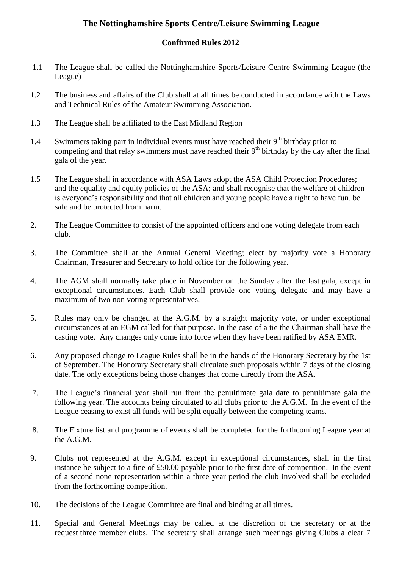## **The Nottinghamshire Sports Centre/Leisure Swimming League**

## **Confirmed Rules 2012**

- 1.1 The League shall be called the Nottinghamshire Sports/Leisure Centre Swimming League (the League)
- 1.2 The business and affairs of the Club shall at all times be conducted in accordance with the Laws and Technical Rules of the Amateur Swimming Association.
- 1.3 The League shall be affiliated to the East Midland Region
- 1.4 Swimmers taking part in individual events must have reached their  $9<sup>th</sup>$  birthday prior to competing and that relay swimmers must have reached their 9<sup>th</sup> birthday by the day after the final gala of the year.
- 1.5 The League shall in accordance with ASA Laws adopt the ASA Child Protection Procedures; and the equality and equity policies of the ASA; and shall recognise that the welfare of children is everyone's responsibility and that all children and young people have a right to have fun, be safe and be protected from harm.
- 2. The League Committee to consist of the appointed officers and one voting delegate from each club.
- 3. The Committee shall at the Annual General Meeting; elect by majority vote a Honorary Chairman, Treasurer and Secretary to hold office for the following year.
- 4. The AGM shall normally take place in November on the Sunday after the last gala, except in exceptional circumstances. Each Club shall provide one voting delegate and may have a maximum of two non voting representatives.
- 5. Rules may only be changed at the A.G.M. by a straight majority vote, or under exceptional circumstances at an EGM called for that purpose. In the case of a tie the Chairman shall have the casting vote. Any changes only come into force when they have been ratified by ASA EMR.
- 6. Any proposed change to League Rules shall be in the hands of the Honorary Secretary by the 1st of September. The Honorary Secretary shall circulate such proposals within 7 days of the closing date. The only exceptions being those changes that come directly from the ASA.
- 7. The League's financial year shall run from the penultimate gala date to penultimate gala the following year. The accounts being circulated to all clubs prior to the A.G.M. In the event of the League ceasing to exist all funds will be split equally between the competing teams.
- 8. The Fixture list and programme of events shall be completed for the forthcoming League year at the A.G.M.
- 9. Clubs not represented at the A.G.M. except in exceptional circumstances, shall in the first instance be subject to a fine of £50.00 payable prior to the first date of competition. In the event of a second none representation within a three year period the club involved shall be excluded from the forthcoming competition.
- 10. The decisions of the League Committee are final and binding at all times.
- 11. Special and General Meetings may be called at the discretion of the secretary or at the request three member clubs. The secretary shall arrange such meetings giving Clubs a clear 7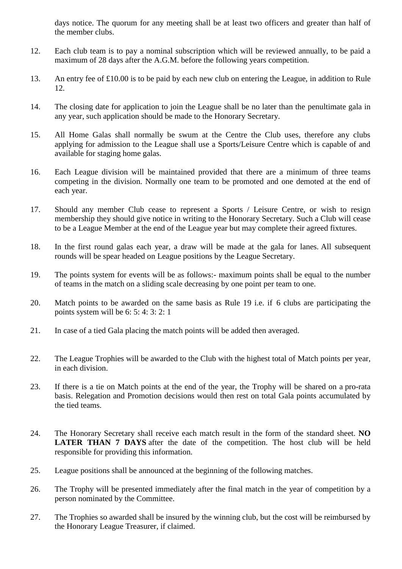days notice. The quorum for any meeting shall be at least two officers and greater than half of the member clubs.

- 12. Each club team is to pay a nominal subscription which will be reviewed annually, to be paid a maximum of 28 days after the A.G.M. before the following years competition.
- 13. An entry fee of £10.00 is to be paid by each new club on entering the League, in addition to Rule 12.
- 14. The closing date for application to join the League shall be no later than the penultimate gala in any year, such application should be made to the Honorary Secretary.
- 15. All Home Galas shall normally be swum at the Centre the Club uses, therefore any clubs applying for admission to the League shall use a Sports/Leisure Centre which is capable of and available for staging home galas.
- 16. Each League division will be maintained provided that there are a minimum of three teams competing in the division. Normally one team to be promoted and one demoted at the end of each year.
- 17. Should any member Club cease to represent a Sports / Leisure Centre, or wish to resign membership they should give notice in writing to the Honorary Secretary. Such a Club will cease to be a League Member at the end of the League year but may complete their agreed fixtures.
- 18. In the first round galas each year, a draw will be made at the gala for lanes. All subsequent rounds will be spear headed on League positions by the League Secretary.
- 19. The points system for events will be as follows:- maximum points shall be equal to the number of teams in the match on a sliding scale decreasing by one point per team to one.
- 20. Match points to be awarded on the same basis as Rule 19 i.e. if 6 clubs are participating the points system will be 6: 5: 4: 3: 2: 1
- 21. In case of a tied Gala placing the match points will be added then averaged.
- 22. The League Trophies will be awarded to the Club with the highest total of Match points per year, in each division.
- 23. If there is a tie on Match points at the end of the year, the Trophy will be shared on a pro-rata basis. Relegation and Promotion decisions would then rest on total Gala points accumulated by the tied teams.
- 24. The Honorary Secretary shall receive each match result in the form of the standard sheet. **NO LATER THAN 7 DAYS** after the date of the competition. The host club will be held responsible for providing this information.
- 25. League positions shall be announced at the beginning of the following matches.
- 26. The Trophy will be presented immediately after the final match in the year of competition by a person nominated by the Committee.
- 27. The Trophies so awarded shall be insured by the winning club, but the cost will be reimbursed by the Honorary League Treasurer, if claimed.